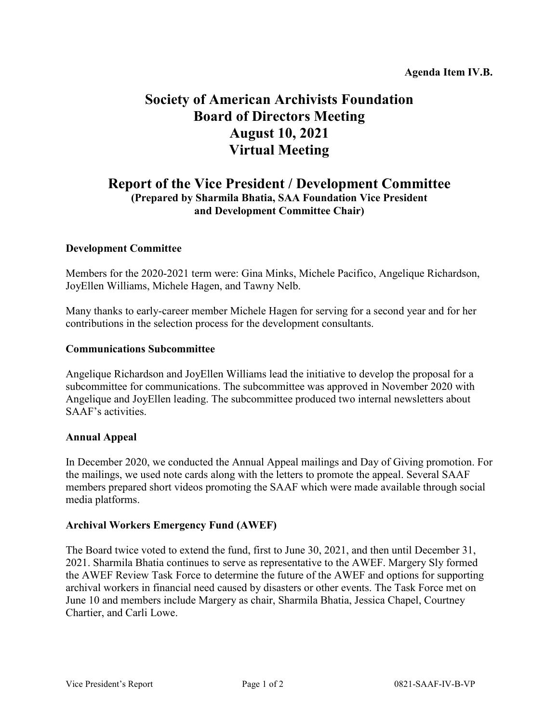# **Society of American Archivists Foundation Board of Directors Meeting August 10, 2021 Virtual Meeting**

# **Report of the Vice President / Development Committee (Prepared by Sharmila Bhatia, SAA Foundation Vice President and Development Committee Chair)**

## **Development Committee**

Members for the 2020-2021 term were: Gina Minks, Michele Pacifico, Angelique Richardson, JoyEllen Williams, Michele Hagen, and Tawny Nelb.

Many thanks to early-career member Michele Hagen for serving for a second year and for her contributions in the selection process for the development consultants.

#### **Communications Subcommittee**

Angelique Richardson and JoyEllen Williams lead the initiative to develop the proposal for a subcommittee for communications. The subcommittee was approved in November 2020 with Angelique and JoyEllen leading. The subcommittee produced two internal newsletters about SAAF's activities.

#### **Annual Appeal**

In December 2020, we conducted the Annual Appeal mailings and Day of Giving promotion. For the mailings, we used note cards along with the letters to promote the appeal. Several SAAF members prepared short videos promoting the SAAF which were made available through social media platforms.

#### **Archival Workers Emergency Fund (AWEF)**

The Board twice voted to extend the fund, first to June 30, 2021, and then until December 31, 2021. Sharmila Bhatia continues to serve as representative to the AWEF. Margery Sly formed the AWEF Review Task Force to determine the future of the AWEF and options for supporting archival workers in financial need caused by disasters or other events. The Task Force met on June 10 and members include Margery as chair, Sharmila Bhatia, Jessica Chapel, Courtney Chartier, and Carli Lowe.